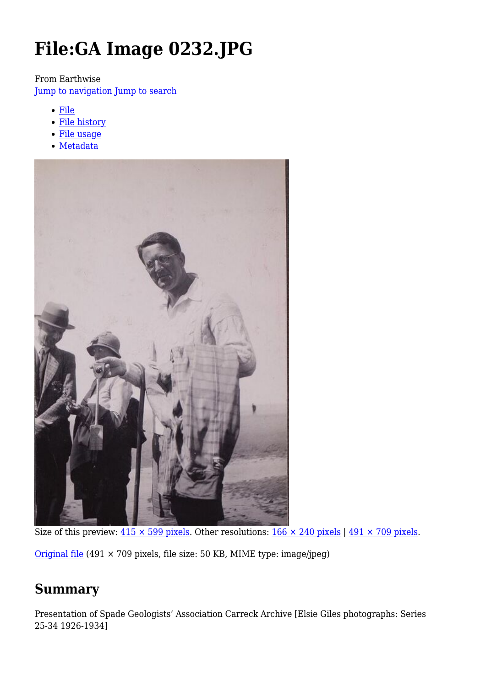# **File:GA Image 0232.JPG**

From Earthwise

[Jump to navigation](#page--1-0) [Jump to search](#page--1-0)

- [File](#page--1-0)
- [File history](#page--1-0)
- [File usage](#page--1-0)
- [Metadata](#page--1-0)



Size of this preview:  $415 \times 599$  pixels. Other resolutions:  $166 \times 240$  pixels |  $491 \times 709$  pixels.

[Original file](http://earthwise.bgs.ac.uk/images/a/a8/GA_Image_0232.JPG) (491 × 709 pixels, file size: 50 KB, MIME type: image/jpeg)

## **Summary**

Presentation of Spade Geologists' Association Carreck Archive [Elsie Giles photographs: Series 25-34 1926-1934]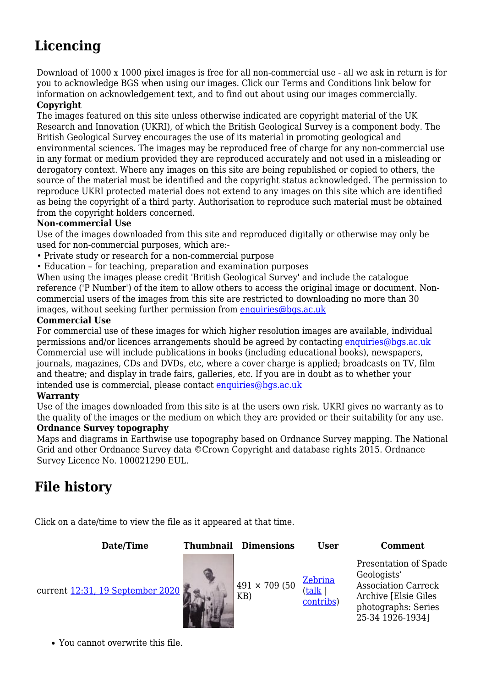# **Licencing**

Download of 1000 x 1000 pixel images is free for all non-commercial use - all we ask in return is for you to acknowledge BGS when using our images. Click our Terms and Conditions link below for information on acknowledgement text, and to find out about using our images commercially.

#### **Copyright**

The images featured on this site unless otherwise indicated are copyright material of the UK Research and Innovation (UKRI), of which the British Geological Survey is a component body. The British Geological Survey encourages the use of its material in promoting geological and environmental sciences. The images may be reproduced free of charge for any non-commercial use in any format or medium provided they are reproduced accurately and not used in a misleading or derogatory context. Where any images on this site are being republished or copied to others, the source of the material must be identified and the copyright status acknowledged. The permission to reproduce UKRI protected material does not extend to any images on this site which are identified as being the copyright of a third party. Authorisation to reproduce such material must be obtained from the copyright holders concerned.

#### **Non-commercial Use**

Use of the images downloaded from this site and reproduced digitally or otherwise may only be used for non-commercial purposes, which are:-

- Private study or research for a non-commercial purpose
- Education for teaching, preparation and examination purposes

When using the images please credit 'British Geological Survey' and include the catalogue reference ('P Number') of the item to allow others to access the original image or document. Noncommercial users of the images from this site are restricted to downloading no more than 30 images, without seeking further permission from [enquiries@bgs.ac.uk](mailto:enquiries@bgs.ac.uk)

#### **Commercial Use**

For commercial use of these images for which higher resolution images are available, individual permissions and/or licences arrangements should be agreed by contacting [enquiries@bgs.ac.uk](mailto:enquiries@bgs.ac.uk) Commercial use will include publications in books (including educational books), newspapers, journals, magazines, CDs and DVDs, etc, where a cover charge is applied; broadcasts on TV, film and theatre; and display in trade fairs, galleries, etc. If you are in doubt as to whether your intended use is commercial, please contact [enquiries@bgs.ac.uk](mailto:enquiries@bgs.ac.uk)

#### **Warranty**

Use of the images downloaded from this site is at the users own risk. UKRI gives no warranty as to the quality of the images or the medium on which they are provided or their suitability for any use.

#### **Ordnance Survey topography**

Maps and diagrams in Earthwise use topography based on Ordnance Survey mapping. The National Grid and other Ordnance Survey data ©Crown Copyright and database rights 2015. Ordnance Survey Licence No. 100021290 EUL.

## **File history**

Click on a date/time to view the file as it appeared at that time.

**Date/Time Thumbnail Dimensions User Comment**

current [12:31, 19 September 2020](http://earthwise.bgs.ac.uk/images/a/a8/GA_Image_0232.JPG)  $491 \times 709 (50)$ 



[Zebrina](http://earthwise.bgs.ac.uk/index.php?title=User:Zebrina&action=edit&redlink=1) ([talk](http://earthwise.bgs.ac.uk/index.php?title=User_talk:Zebrina&action=edit&redlink=1) | [contribs](http://earthwise.bgs.ac.uk/index.php/Special:Contributions/Zebrina)) Presentation of Spade Geologists' Association Carreck Archive [Elsie Giles photographs: Series 25-34 1926-1934]

You cannot overwrite this file.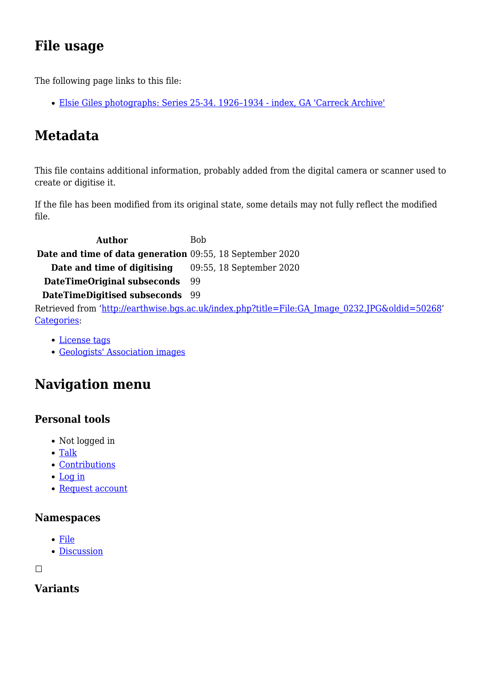# **File usage**

The following page links to this file:

[Elsie Giles photographs: Series 25-34. 1926–1934 - index, GA 'Carreck Archive'](http://earthwise.bgs.ac.uk/index.php/Elsie_Giles_photographs:_Series_25-34._1926%E2%80%931934_-_index,_GA_%27Carreck_Archive%27)

# **Metadata**

This file contains additional information, probably added from the digital camera or scanner used to create or digitise it.

If the file has been modified from its original state, some details may not fully reflect the modified file.

**Author** Bob **Date and time of data generation** 09:55, 18 September 2020 **Date and time of digitising** 09:55, 18 September 2020 **DateTimeOriginal subseconds** 99 **DateTimeDigitised subseconds** 99 Retrieved from ['http://earthwise.bgs.ac.uk/index.php?title=File:GA\\_Image\\_0232.JPG&oldid=50268](http://earthwise.bgs.ac.uk/index.php?title=File:GA_Image_0232.JPG&oldid=50268)' [Categories:](http://earthwise.bgs.ac.uk/index.php/Special:Categories)

- [License tags](http://earthwise.bgs.ac.uk/index.php/Category:License_tags)
- [Geologists' Association images](http://earthwise.bgs.ac.uk/index.php/Category:Geologists%27_Association_images)

# **Navigation menu**

### **Personal tools**

- Not logged in
- [Talk](http://earthwise.bgs.ac.uk/index.php/Special:MyTalk)
- [Contributions](http://earthwise.bgs.ac.uk/index.php/Special:MyContributions)
- [Log in](http://earthwise.bgs.ac.uk/index.php?title=Special:UserLogin&returnto=File%3AGA+Image+0232.JPG&returntoquery=action%3Dmpdf)
- [Request account](http://earthwise.bgs.ac.uk/index.php/Special:RequestAccount)

#### **Namespaces**

- [File](http://earthwise.bgs.ac.uk/index.php/File:GA_Image_0232.JPG)
- [Discussion](http://earthwise.bgs.ac.uk/index.php?title=File_talk:GA_Image_0232.JPG&action=edit&redlink=1)

 $\Box$ 

### **Variants**